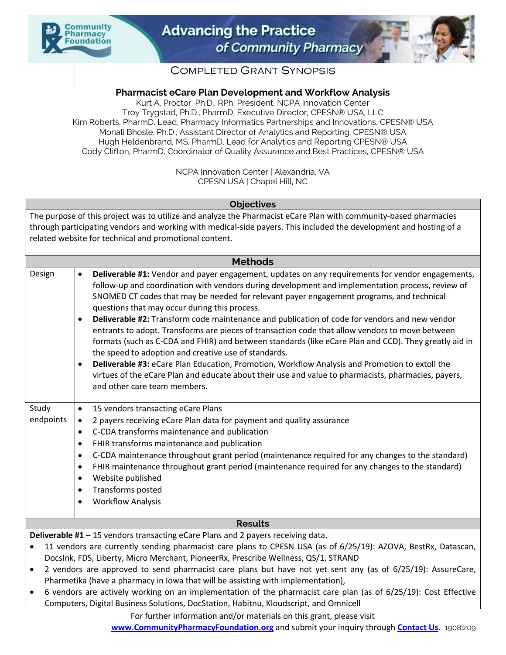



# **COMPLETED GRANT SYNOPSIS**

## **Pharmacist eCare Plan Development and Workflow Analysis**

Kurt A. Proctor, Ph.D., RPh, President, NCPA Innovation Center Troy Trygstad, Ph.D., PharmD, Executive Director, CPESN® USA, LLC Kim Roberts, PharmD, Lead, Pharmacy Informatics Partnerships and Innovations, CPESN® USA Monali Bhosle, Ph.D., Assistant Director of Analytics and Reporting, CPESN® USA Hugh Heldenbrand, MS, PharmD, Lead for Analytics and Reporting CPESN® USA Cody Clifton, PharmD, Coordinator of Quality Assurance and Best Practices, CPESN® USA

> NCPA Innovation Center | Alexandria, VA CPESN USA | Chapel Hill, NC

### **Objectives**

The purpose of this project was to utilize and analyze the Pharmacist eCare Plan with community-based pharmacies through participating vendors and working with medical-side payers. This included the development and hosting of a related website for technical and promotional content.

#### **Methods**

| Design                                                                                                                                                                                                                                                                                                                                                                                                                                                                                                               | Deliverable #1: Vendor and payer engagement, updates on any requirements for vendor engagements,<br>$\bullet$<br>follow-up and coordination with vendors during development and implementation process, review of<br>SNOMED CT codes that may be needed for relevant payer engagement programs, and technical<br>questions that may occur during this process.<br>Deliverable #2: Transform code maintenance and publication of code for vendors and new vendor<br>$\bullet$<br>entrants to adopt. Transforms are pieces of transaction code that allow vendors to move between<br>formats (such as C-CDA and FHIR) and between standards (like eCare Plan and CCD). They greatly aid in<br>the speed to adoption and creative use of standards.<br>Deliverable #3: eCare Plan Education, Promotion, Workflow Analysis and Promotion to extoll the<br>$\bullet$<br>virtues of the eCare Plan and educate about their use and value to pharmacists, pharmacies, payers,<br>and other care team members. |
|----------------------------------------------------------------------------------------------------------------------------------------------------------------------------------------------------------------------------------------------------------------------------------------------------------------------------------------------------------------------------------------------------------------------------------------------------------------------------------------------------------------------|--------------------------------------------------------------------------------------------------------------------------------------------------------------------------------------------------------------------------------------------------------------------------------------------------------------------------------------------------------------------------------------------------------------------------------------------------------------------------------------------------------------------------------------------------------------------------------------------------------------------------------------------------------------------------------------------------------------------------------------------------------------------------------------------------------------------------------------------------------------------------------------------------------------------------------------------------------------------------------------------------------|
| Study<br>endpoints                                                                                                                                                                                                                                                                                                                                                                                                                                                                                                   | 15 vendors transacting eCare Plans<br>$\bullet$<br>2 payers receiving eCare Plan data for payment and quality assurance<br>$\bullet$<br>C-CDA transforms maintenance and publication<br>$\bullet$<br>FHIR transforms maintenance and publication<br>$\bullet$<br>C-CDA maintenance throughout grant period (maintenance required for any changes to the standard)<br>٠<br>FHIR maintenance throughout grant period (maintenance required for any changes to the standard)<br>٠<br>Website published<br>$\bullet$<br>Transforms posted<br>٠<br><b>Workflow Analysis</b><br>$\bullet$                                                                                                                                                                                                                                                                                                                                                                                                                    |
| <b>Results</b>                                                                                                                                                                                                                                                                                                                                                                                                                                                                                                       |                                                                                                                                                                                                                                                                                                                                                                                                                                                                                                                                                                                                                                                                                                                                                                                                                                                                                                                                                                                                        |
| Deliverable #1 - 15 vendors transacting eCare Plans and 2 payers receiving data.<br>11 vendors are currently sending pharmacist care plans to CPESN USA (as of 6/25/19): AZOVA, BestRx, Datascan,<br>$\bullet$<br>DocsInk, FDS, Liberty, Micro Merchant, PioneerRx, Prescribe Wellness, QS/1, STRAND<br>2 vendors are approved to send pharmacist care plans but have not yet sent any (as of 6/25/19): AssureCare,<br>$\bullet$<br>Pharmetika (have a pharmacy in lowa that will be assisting with implementation), |                                                                                                                                                                                                                                                                                                                                                                                                                                                                                                                                                                                                                                                                                                                                                                                                                                                                                                                                                                                                        |

• 6 vendors are actively working on an implementation of the pharmacist care plan (as of 6/25/19): Cost Effective Computers, Digital Business Solutions, DocStation, Habitnu, Kloudscript, and Omnicell